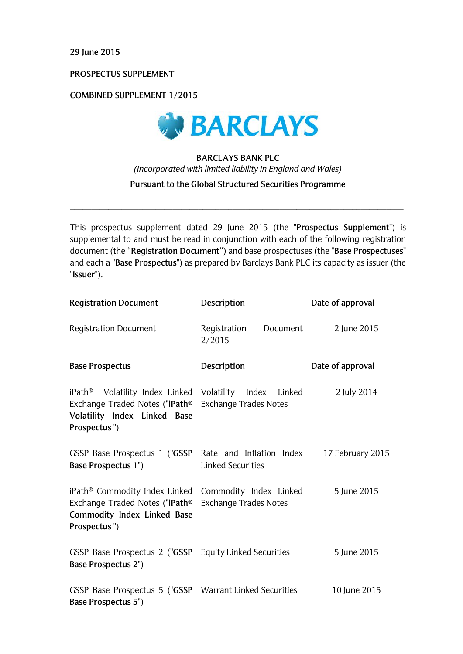**29 June 2015**

**PROSPECTUS SUPPLEMENT** 

**COMBINED SUPPLEMENT 1/2015**



# **BARCLAYS BANK PLC**  *(Incorporated with limited liability in England and Wales)* **Pursuant to the Global Structured Securities Programme**

 $\_$  ,  $\_$  ,  $\_$  ,  $\_$  ,  $\_$  ,  $\_$  ,  $\_$  ,  $\_$  ,  $\_$  ,  $\_$  ,  $\_$  ,  $\_$  ,  $\_$  ,  $\_$  ,  $\_$  ,  $\_$  ,  $\_$  ,  $\_$  ,  $\_$  ,  $\_$  ,  $\_$  ,  $\_$  ,  $\_$  ,  $\_$  ,  $\_$  ,  $\_$  ,  $\_$  ,  $\_$  ,  $\_$  ,  $\_$  ,  $\_$  ,  $\_$  ,  $\_$  ,  $\_$  ,  $\_$  ,  $\_$  ,  $\_$  ,

This prospectus supplement dated 29 June 2015 (the "**Prospectus Supplement**") is supplemental to and must be read in conjunction with each of the following registration document (the "**Registration Document**") and base prospectuses (the "**Base Prospectuses**" and each a "**Base Prospectus**") as prepared by Barclays Bank PLC its capacity as issuer (the "**Issuer**").

| <b>Registration Document</b>                                                                                                                                               | Description                                            | Date of approval |
|----------------------------------------------------------------------------------------------------------------------------------------------------------------------------|--------------------------------------------------------|------------------|
| <b>Registration Document</b>                                                                                                                                               | Registration<br>Document<br>2/2015                     | 2 June 2015      |
| <b>Base Prospectus</b>                                                                                                                                                     | Description                                            | Date of approval |
| iPath <sup>®</sup> Volatility Index Linked Volatility Index Linked<br>Exchange Traded Notes ("iPath® Exchange Trades Notes<br>Volatility Index Linked Base<br>Prospectus") |                                                        | 2 July 2014      |
| GSSP Base Prospectus 1 ("GSSP<br><b>Base Prospectus 1")</b>                                                                                                                | Rate and Inflation Index<br><b>Linked Securities</b>   | 17 February 2015 |
| iPath <sup>®</sup> Commodity Index Linked<br>Exchange Traded Notes ("iPath®<br>Commodity Index Linked Base<br>Prospectus")                                                 | Commodity Index Linked<br><b>Exchange Trades Notes</b> | 5 June 2015      |
| GSSP Base Prospectus 2 ("GSSP Equity Linked Securities<br><b>Base Prospectus 2")</b>                                                                                       |                                                        | 5 June 2015      |
| GSSP Base Prospectus 5 ("GSSP Warrant Linked Securities<br><b>Base Prospectus 5")</b>                                                                                      |                                                        | 10 June 2015     |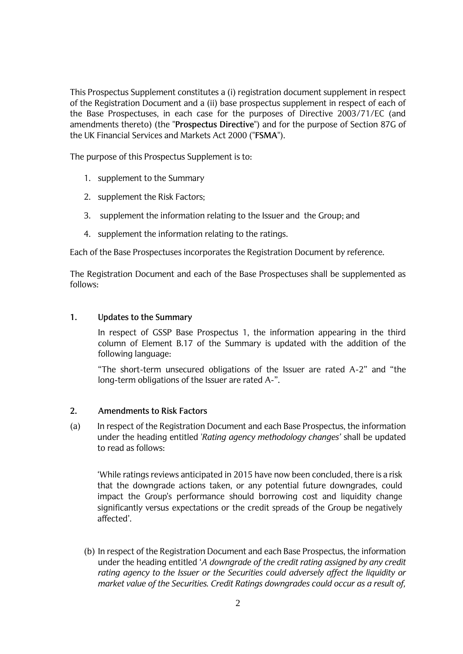This Prospectus Supplement constitutes a (i) registration document supplement in respect of the Registration Document and a (ii) base prospectus supplement in respect of each of the Base Prospectuses, in each case for the purposes of Directive 2003/71/EC (and amendments thereto) (the "**Prospectus Directive**") and for the purpose of Section 87G of the UK Financial Services and Markets Act 2000 ("**FSMA**").

The purpose of this Prospectus Supplement is to:

- 1. supplement to the Summary
- 2. supplement the Risk Factors;
- 3. supplement the information relating to the Issuer and the Group; and
- 4. supplement the information relating to the ratings.

Each of the Base Prospectuses incorporates the Registration Document by reference.

The Registration Document and each of the Base Prospectuses shall be supplemented as follows:

#### **1. Updates to the Summary**

In respect of GSSP Base Prospectus 1, the information appearing in the third column of Element B.17 of the Summary is updated with the addition of the following language:

"The short-term unsecured obligations of the Issuer are rated A-2" and "the long-term obligations of the Issuer are rated A-".

#### **2. Amendments to Risk Factors**

(a) In respect of the Registration Document and each Base Prospectus, the information under the heading entitled '*Rating agency methodology changes'* shall be updated to read as follows:

'While ratings reviews anticipated in 2015 have now been concluded, there is a risk that the downgrade actions taken, or any potential future downgrades, could impact the Group's performance should borrowing cost and liquidity change significantly versus expectations or the credit spreads of the Group be negatively affected'.

(b) In respect of the Registration Document and each Base Prospectus, the information under the heading entitled '*A downgrade of the credit rating assigned by any credit rating agency to the Issuer or the Securities could adversely affect the liquidity or market value of the Securities. Credit Ratings downgrades could occur as a result of,*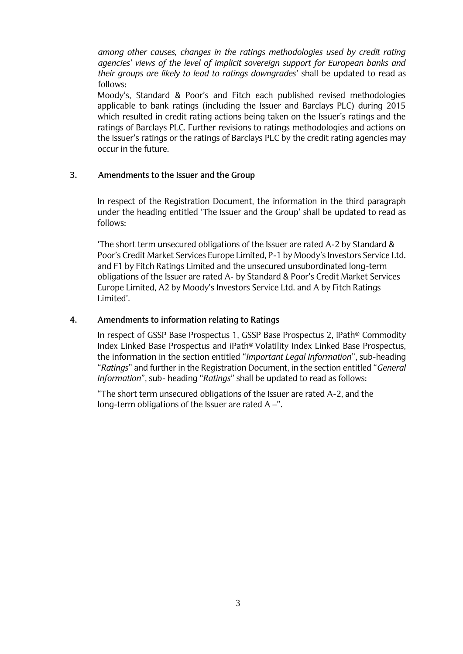*among other causes, changes in the ratings methodologies used by credit rating agencies' views of the level of implicit sovereign support for European banks and their groups are likely to lead to ratings downgrades*' shall be updated to read as follows:

Moody's, Standard & Poor's and Fitch each published revised methodologies applicable to bank ratings (including the Issuer and Barclays PLC) during 2015 which resulted in credit rating actions being taken on the Issuer's ratings and the ratings of Barclays PLC. Further revisions to ratings methodologies and actions on the issuer's ratings or the ratings of Barclays PLC by the credit rating agencies may occur in the future.

### **3. Amendments to the Issuer and the Group**

In respect of the Registration Document, the information in the third paragraph under the heading entitled 'The Issuer and the Group' shall be updated to read as follows:

'The short term unsecured obligations of the Issuer are rated A-2 by Standard & Poor's Credit Market Services Europe Limited, P-1 by Moody's Investors Service Ltd. and F1 by Fitch Ratings Limited and the unsecured unsubordinated long-term obligations of the Issuer are rated A- by Standard & Poor's Credit Market Services Europe Limited, A2 by Moody's Investors Service Ltd. and A by Fitch Ratings Limited'.

## **4. Amendments to information relating to Ratings**

In respect of GSSP Base Prospectus 1, GSSP Base Prospectus 2, iPath® Commodity Index Linked Base Prospectus and iPath® Volatility Index Linked Base Prospectus, the information in the section entitled "*Important Legal Information*", sub-heading "*Ratings*" and further in the Registration Document, in the section entitled "*General Information*", sub- heading "*Ratings*" shall be updated to read as follows:

"The short term unsecured obligations of the Issuer are rated A-2, and the long-term obligations of the Issuer are rated A –".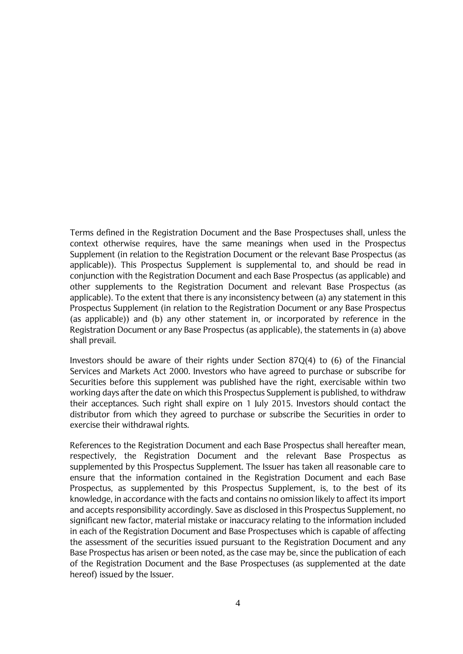Terms defined in the Registration Document and the Base Prospectuses shall, unless the context otherwise requires, have the same meanings when used in the Prospectus Supplement (in relation to the Registration Document or the relevant Base Prospectus (as applicable)). This Prospectus Supplement is supplemental to, and should be read in conjunction with the Registration Document and each Base Prospectus (as applicable) and other supplements to the Registration Document and relevant Base Prospectus (as applicable). To the extent that there is any inconsistency between (a) any statement in this Prospectus Supplement (in relation to the Registration Document or any Base Prospectus (as applicable)) and (b) any other statement in, or incorporated by reference in the Registration Document or any Base Prospectus (as applicable), the statements in (a) above shall prevail.

Investors should be aware of their rights under Section 87Q(4) to (6) of the Financial Services and Markets Act 2000. Investors who have agreed to purchase or subscribe for Securities before this supplement was published have the right, exercisable within two working days after the date on which this Prospectus Supplement is published, to withdraw their acceptances. Such right shall expire on 1 July 2015. Investors should contact the distributor from which they agreed to purchase or subscribe the Securities in order to exercise their withdrawal rights.

References to the Registration Document and each Base Prospectus shall hereafter mean, respectively, the Registration Document and the relevant Base Prospectus as supplemented by this Prospectus Supplement. The Issuer has taken all reasonable care to ensure that the information contained in the Registration Document and each Base Prospectus, as supplemented by this Prospectus Supplement, is, to the best of its knowledge, in accordance with the facts and contains no omission likely to affect its import and accepts responsibility accordingly. Save as disclosed in this Prospectus Supplement, no significant new factor, material mistake or inaccuracy relating to the information included in each of the Registration Document and Base Prospectuses which is capable of affecting the assessment of the securities issued pursuant to the Registration Document and any Base Prospectus has arisen or been noted, as the case may be, since the publication of each of the Registration Document and the Base Prospectuses (as supplemented at the date hereof) issued by the Issuer.